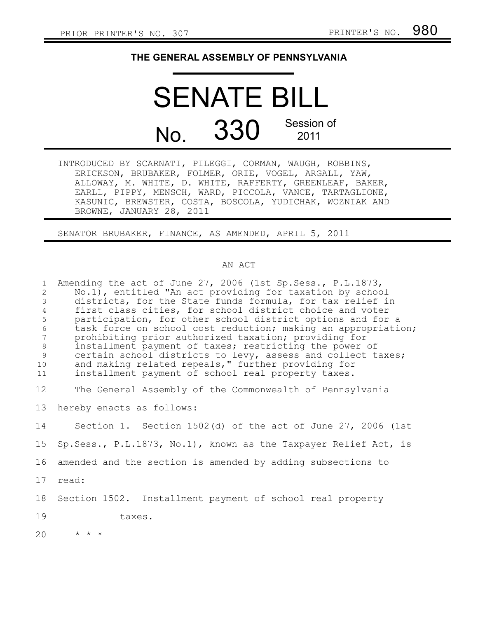## **THE GENERAL ASSEMBLY OF PENNSYLVANIA**

## SENATE BILL No. 330 Session of 2011

INTRODUCED BY SCARNATI, PILEGGI, CORMAN, WAUGH, ROBBINS, ERICKSON, BRUBAKER, FOLMER, ORIE, VOGEL, ARGALL, YAW, ALLOWAY, M. WHITE, D. WHITE, RAFFERTY, GREENLEAF, BAKER, EARLL, PIPPY, MENSCH, WARD, PICCOLA, VANCE, TARTAGLIONE, KASUNIC, BREWSTER, COSTA, BOSCOLA, YUDICHAK, WOZNIAK AND BROWNE, JANUARY 28, 2011

SENATOR BRUBAKER, FINANCE, AS AMENDED, APRIL 5, 2011

## AN ACT

| $\mathbf{1}$<br>$\overline{2}$<br>$\mathfrak{Z}$<br>$\overline{4}$<br>5<br>$\sqrt{6}$<br>$\overline{7}$<br>$8\,$<br>$\mathsf 9$ | Amending the act of June 27, 2006 (1st Sp. Sess., P. L. 1873,<br>No.1), entitled "An act providing for taxation by school<br>districts, for the State funds formula, for tax relief in<br>first class cities, for school district choice and voter<br>participation, for other school district options and for a<br>task force on school cost reduction; making an appropriation;<br>prohibiting prior authorized taxation; providing for<br>installment payment of taxes; restricting the power of<br>certain school districts to levy, assess and collect taxes; |
|---------------------------------------------------------------------------------------------------------------------------------|--------------------------------------------------------------------------------------------------------------------------------------------------------------------------------------------------------------------------------------------------------------------------------------------------------------------------------------------------------------------------------------------------------------------------------------------------------------------------------------------------------------------------------------------------------------------|
| 10                                                                                                                              | and making related repeals," further providing for                                                                                                                                                                                                                                                                                                                                                                                                                                                                                                                 |
| 11                                                                                                                              | installment payment of school real property taxes.                                                                                                                                                                                                                                                                                                                                                                                                                                                                                                                 |
| 12                                                                                                                              | The General Assembly of the Commonwealth of Pennsylvania                                                                                                                                                                                                                                                                                                                                                                                                                                                                                                           |
| 13                                                                                                                              | hereby enacts as follows:                                                                                                                                                                                                                                                                                                                                                                                                                                                                                                                                          |
| 14                                                                                                                              | Section 1. Section $1502(d)$ of the act of June 27, 2006 (1st                                                                                                                                                                                                                                                                                                                                                                                                                                                                                                      |
| 15                                                                                                                              | Sp. Sess., P.L.1873, No.1), known as the Taxpayer Relief Act, is                                                                                                                                                                                                                                                                                                                                                                                                                                                                                                   |
| 16                                                                                                                              | amended and the section is amended by adding subsections to                                                                                                                                                                                                                                                                                                                                                                                                                                                                                                        |
| 17                                                                                                                              | read:                                                                                                                                                                                                                                                                                                                                                                                                                                                                                                                                                              |
| 18                                                                                                                              | Section 1502. Installment payment of school real property                                                                                                                                                                                                                                                                                                                                                                                                                                                                                                          |
| 19                                                                                                                              | taxes.                                                                                                                                                                                                                                                                                                                                                                                                                                                                                                                                                             |
| 20                                                                                                                              | $* * *$                                                                                                                                                                                                                                                                                                                                                                                                                                                                                                                                                            |